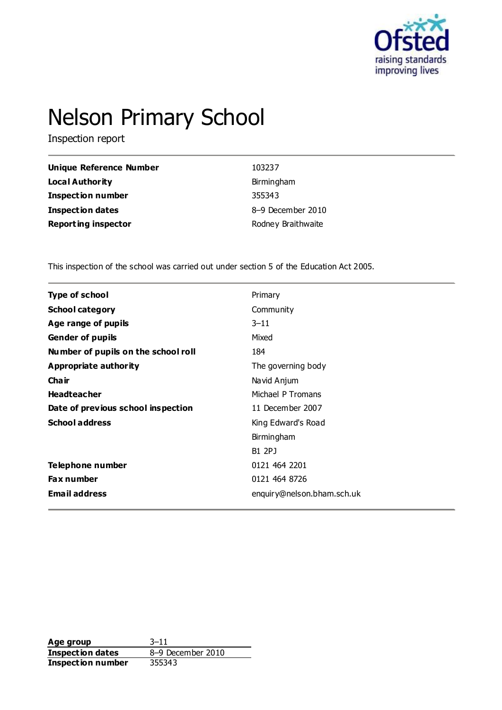

# Nelson Primary School

Inspection report

| Unique Reference Number    | 103237             |
|----------------------------|--------------------|
| <b>Local Authority</b>     | Birmingham         |
| <b>Inspection number</b>   | 355343             |
| Inspection dates           | 8-9 December 2010  |
| <b>Reporting inspector</b> | Rodney Braithwaite |

This inspection of the school was carried out under section 5 of the Education Act 2005.

| <b>Type of school</b>               | Primary                    |
|-------------------------------------|----------------------------|
| <b>School category</b>              | Community                  |
| Age range of pupils                 | $3 - 11$                   |
| <b>Gender of pupils</b>             | Mixed                      |
| Number of pupils on the school roll | 184                        |
| <b>Appropriate authority</b>        | The governing body         |
| Cha ir                              | Navid Anjum                |
| <b>Headteacher</b>                  | Michael P Tromans          |
| Date of previous school inspection  | 11 December 2007           |
| <b>School address</b>               | King Edward's Road         |
|                                     | Birmingham                 |
|                                     | B1 2PJ                     |
| <b>Telephone number</b>             | 0121 464 2201              |
| <b>Fax number</b>                   | 0121 464 8726              |
| <b>Email address</b>                | enquiry@nelson.bham.sch.uk |
|                                     |                            |

**Age group** 3–11 **Inspection dates** 8–9 December 2010<br>**Inspection number** 355343 **Inspection number**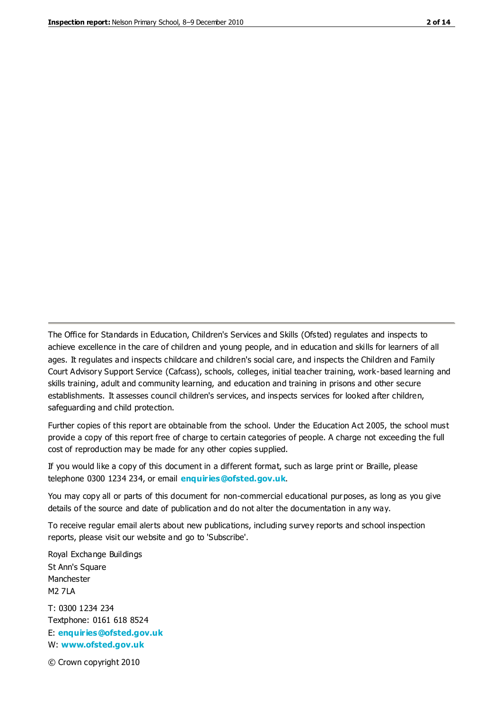The Office for Standards in Education, Children's Services and Skills (Ofsted) regulates and inspects to achieve excellence in the care of children and young people, and in education and skills for learners of all ages. It regulates and inspects childcare and children's social care, and inspects the Children and Family Court Advisory Support Service (Cafcass), schools, colleges, initial teacher training, work-based learning and skills training, adult and community learning, and education and training in prisons and other secure establishments. It assesses council children's services, and inspects services for looked after children, safeguarding and child protection.

Further copies of this report are obtainable from the school. Under the Education Act 2005, the school must provide a copy of this report free of charge to certain categories of people. A charge not exceeding the full cost of reproduction may be made for any other copies supplied.

If you would like a copy of this document in a different format, such as large print or Braille, please telephone 0300 1234 234, or email **[enquiries@ofsted.gov.uk](mailto:enquiries@ofsted.gov.uk)**.

You may copy all or parts of this document for non-commercial educational purposes, as long as you give details of the source and date of publication and do not alter the documentation in any way.

To receive regular email alerts about new publications, including survey reports and school inspection reports, please visit our website and go to 'Subscribe'.

Royal Exchange Buildings St Ann's Square Manchester M2 7LA T: 0300 1234 234 Textphone: 0161 618 8524 E: **[enquiries@ofsted.gov.uk](mailto:enquiries@ofsted.gov.uk)** W: **[www.ofsted.gov.uk](http://www.ofsted.gov.uk/)**

© Crown copyright 2010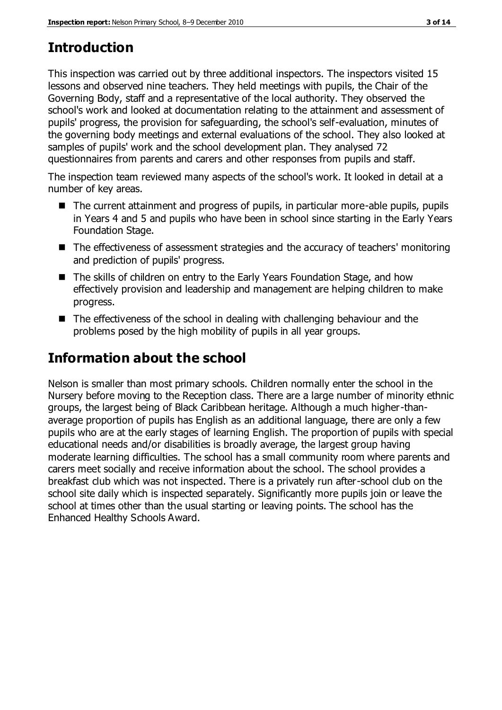# **Introduction**

This inspection was carried out by three additional inspectors. The inspectors visited 15 lessons and observed nine teachers. They held meetings with pupils, the Chair of the Governing Body, staff and a representative of the local authority. They observed the school's work and looked at documentation relating to the attainment and assessment of pupils' progress, the provision for safeguarding, the school's self-evaluation, minutes of the governing body meetings and external evaluations of the school. They also looked at samples of pupils' work and the school development plan. They analysed 72 questionnaires from parents and carers and other responses from pupils and staff.

The inspection team reviewed many aspects of the school's work. It looked in detail at a number of key areas.

- The current attainment and progress of pupils, in particular more-able pupils, pupils in Years 4 and 5 and pupils who have been in school since starting in the Early Years Foundation Stage.
- The effectiveness of assessment strategies and the accuracy of teachers' monitoring and prediction of pupils' progress.
- The skills of children on entry to the Early Years Foundation Stage, and how effectively provision and leadership and management are helping children to make progress.
- The effectiveness of the school in dealing with challenging behaviour and the problems posed by the high mobility of pupils in all year groups.

# **Information about the school**

Nelson is smaller than most primary schools. Children normally enter the school in the Nursery before moving to the Reception class. There are a large number of minority ethnic groups, the largest being of Black Caribbean heritage. Although a much higher-thanaverage proportion of pupils has English as an additional language, there are only a few pupils who are at the early stages of learning English. The proportion of pupils with special educational needs and/or disabilities is broadly average, the largest group having moderate learning difficulties. The school has a small community room where parents and carers meet socially and receive information about the school. The school provides a breakfast club which was not inspected. There is a privately run after-school club on the school site daily which is inspected separately. Significantly more pupils join or leave the school at times other than the usual starting or leaving points. The school has the Enhanced Healthy Schools Award.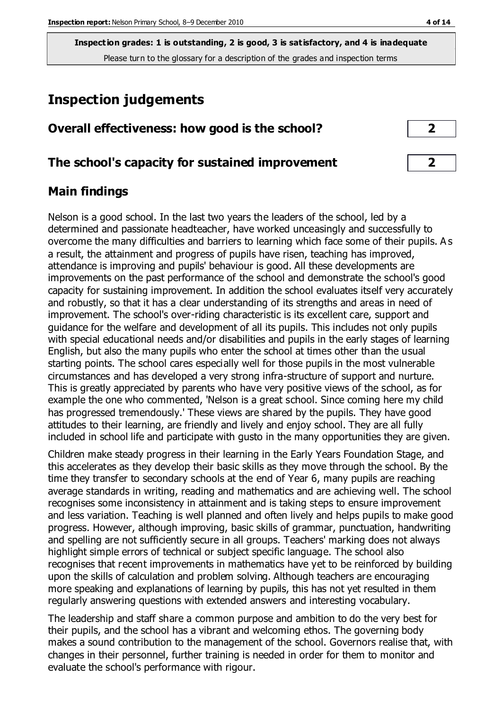# **Inspection judgements**

## **Overall effectiveness: how good is the school? 2**

#### **The school's capacity for sustained improvement 2**

## **Main findings**

Nelson is a good school. In the last two years the leaders of the school, led by a determined and passionate headteacher, have worked unceasingly and successfully to overcome the many difficulties and barriers to learning which face some of their pupils. A s a result, the attainment and progress of pupils have risen, teaching has improved, attendance is improving and pupils' behaviour is good. All these developments are improvements on the past performance of the school and demonstrate the school's good capacity for sustaining improvement. In addition the school evaluates itself very accurately and robustly, so that it has a clear understanding of its strengths and areas in need of improvement. The school's over-riding characteristic is its excellent care, support and guidance for the welfare and development of all its pupils. This includes not only pupils with special educational needs and/or disabilities and pupils in the early stages of learning English, but also the many pupils who enter the school at times other than the usual starting points. The school cares especially well for those pupils in the most vulnerable circumstances and has developed a very strong infra-structure of support and nurture. This is greatly appreciated by parents who have very positive views of the school, as for example the one who commented, 'Nelson is a great school. Since coming here my child has progressed tremendously.' These views are shared by the pupils. They have good attitudes to their learning, are friendly and lively and enjoy school. They are all fully included in school life and participate with gusto in the many opportunities they are given.

Children make steady progress in their learning in the Early Years Foundation Stage, and this accelerates as they develop their basic skills as they move through the school. By the time they transfer to secondary schools at the end of Year 6, many pupils are reaching average standards in writing, reading and mathematics and are achieving well. The school recognises some inconsistency in attainment and is taking steps to ensure improvement and less variation. Teaching is well planned and often lively and helps pupils to make good progress. However, although improving, basic skills of grammar, punctuation, handwriting and spelling are not sufficiently secure in all groups. Teachers' marking does not always highlight simple errors of technical or subject specific language. The school also recognises that recent improvements in mathematics have yet to be reinforced by building upon the skills of calculation and problem solving. Although teachers are encouraging more speaking and explanations of learning by pupils, this has not yet resulted in them regularly answering questions with extended answers and interesting vocabulary.

The leadership and staff share a common purpose and ambition to do the very best for their pupils, and the school has a vibrant and welcoming ethos. The governing body makes a sound contribution to the management of the school. Governors realise that, with changes in their personnel, further training is needed in order for them to monitor and evaluate the school's performance with rigour.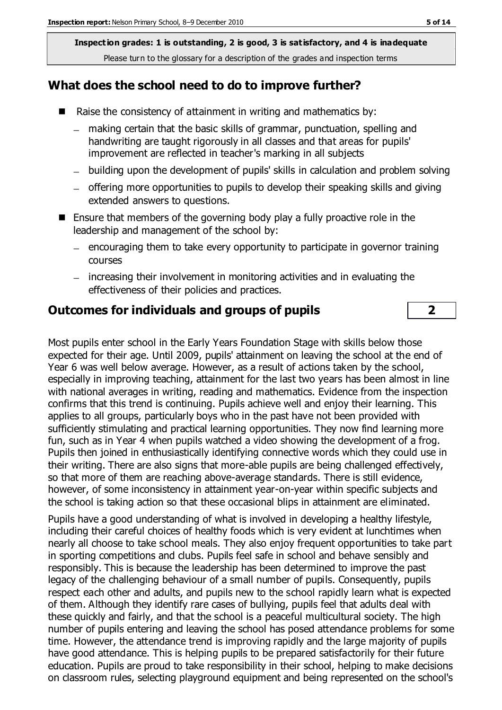#### **What does the school need to do to improve further?**

- Raise the consistency of attainment in writing and mathematics by:
	- making certain that the basic skills of grammar, punctuation, spelling and  $\,$ handwriting are taught rigorously in all classes and that areas for pupils' improvement are reflected in teacher's marking in all subjects
	- building upon the development of pupils' skills in calculation and problem solving
	- offering more opportunities to pupils to develop their speaking skills and giving extended answers to questions.
- **E** Ensure that members of the governing body play a fully proactive role in the leadership and management of the school by:
	- encouraging them to take every opportunity to participate in governor training  $\equiv$ courses
	- increasing their involvement in monitoring activities and in evaluating the effectiveness of their policies and practices.

#### **Outcomes for individuals and groups of pupils 2**

Most pupils enter school in the Early Years Foundation Stage with skills below those expected for their age. Until 2009, pupils' attainment on leaving the school at the end of Year 6 was well below average. However, as a result of actions taken by the school, especially in improving teaching, attainment for the last two years has been almost in line with national averages in writing, reading and mathematics. Evidence from the inspection confirms that this trend is continuing. Pupils achieve well and enjoy their learning. This applies to all groups, particularly boys who in the past have not been provided with sufficiently stimulating and practical learning opportunities. They now find learning more fun, such as in Year 4 when pupils watched a video showing the development of a frog. Pupils then joined in enthusiastically identifying connective words which they could use in their writing. There are also signs that more-able pupils are being challenged effectively, so that more of them are reaching above-average standards. There is still evidence, however, of some inconsistency in attainment year-on-year within specific subjects and the school is taking action so that these occasional blips in attainment are eliminated.

Pupils have a good understanding of what is involved in developing a healthy lifestyle, including their careful choices of healthy foods which is very evident at lunchtimes when nearly all choose to take school meals. They also enjoy frequent opportunities to take part in sporting competitions and clubs. Pupils feel safe in school and behave sensibly and responsibly. This is because the leadership has been determined to improve the past legacy of the challenging behaviour of a small number of pupils. Consequently, pupils respect each other and adults, and pupils new to the school rapidly learn what is expected of them. Although they identify rare cases of bullying, pupils feel that adults deal with these quickly and fairly, and that the school is a peaceful multicultural society. The high number of pupils entering and leaving the school has posed attendance problems for some time. However, the attendance trend is improving rapidly and the large majority of pupils have good attendance. This is helping pupils to be prepared satisfactorily for their future education. Pupils are proud to take responsibility in their school, helping to make decisions on classroom rules, selecting playground equipment and being represented on the school's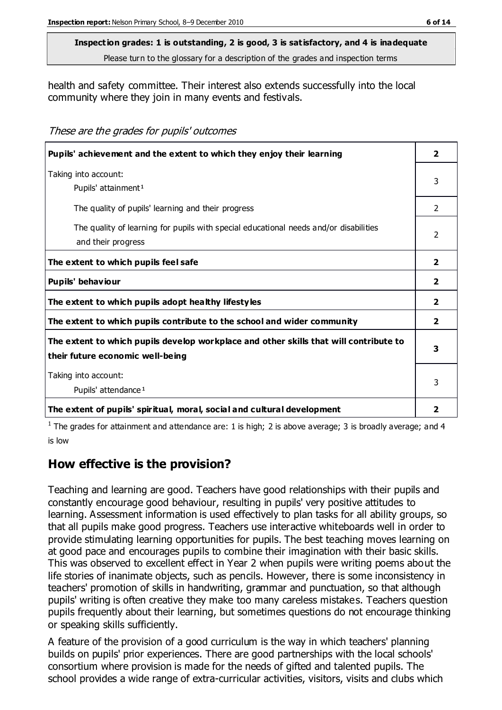**Inspection grades: 1 is outstanding, 2 is good, 3 is satisfactory, and 4 is inadequate**

Please turn to the glossary for a description of the grades and inspection terms

health and safety committee. Their interest also extends successfully into the local community where they join in many events and festivals.

These are the grades for pupils' outcomes

| Pupils' achievement and the extent to which they enjoy their learning                                                     |                |
|---------------------------------------------------------------------------------------------------------------------------|----------------|
| Taking into account:<br>Pupils' attainment <sup>1</sup>                                                                   | 3              |
| The quality of pupils' learning and their progress                                                                        | 2              |
| The quality of learning for pupils with special educational needs and/or disabilities<br>and their progress               | $\mathcal{P}$  |
| The extent to which pupils feel safe                                                                                      | $\overline{2}$ |
| Pupils' behaviour                                                                                                         | $\mathbf{2}$   |
| The extent to which pupils adopt healthy lifestyles                                                                       | $\overline{2}$ |
| The extent to which pupils contribute to the school and wider community                                                   | $\overline{2}$ |
| The extent to which pupils develop workplace and other skills that will contribute to<br>their future economic well-being |                |
| Taking into account:<br>Pupils' attendance <sup>1</sup>                                                                   |                |
| The extent of pupils' spiritual, moral, social and cultural development                                                   | 2              |

<sup>1</sup> The grades for attainment and attendance are: 1 is high; 2 is above average; 3 is broadly average; and 4 is low

## **How effective is the provision?**

Teaching and learning are good. Teachers have good relationships with their pupils and constantly encourage good behaviour, resulting in pupils' very positive attitudes to learning. Assessment information is used effectively to plan tasks for all ability groups, so that all pupils make good progress. Teachers use interactive whiteboards well in order to provide stimulating learning opportunities for pupils. The best teaching moves learning on at good pace and encourages pupils to combine their imagination with their basic skills. This was observed to excellent effect in Year 2 when pupils were writing poems about the life stories of inanimate objects, such as pencils. However, there is some inconsistency in teachers' promotion of skills in handwriting, grammar and punctuation, so that although pupils' writing is often creative they make too many careless mistakes. Teachers question pupils frequently about their learning, but sometimes questions do not encourage thinking or speaking skills sufficiently.

A feature of the provision of a good curriculum is the way in which teachers' planning builds on pupils' prior experiences. There are good partnerships with the local schools' consortium where provision is made for the needs of gifted and talented pupils. The school provides a wide range of extra-curricular activities, visitors, visits and clubs which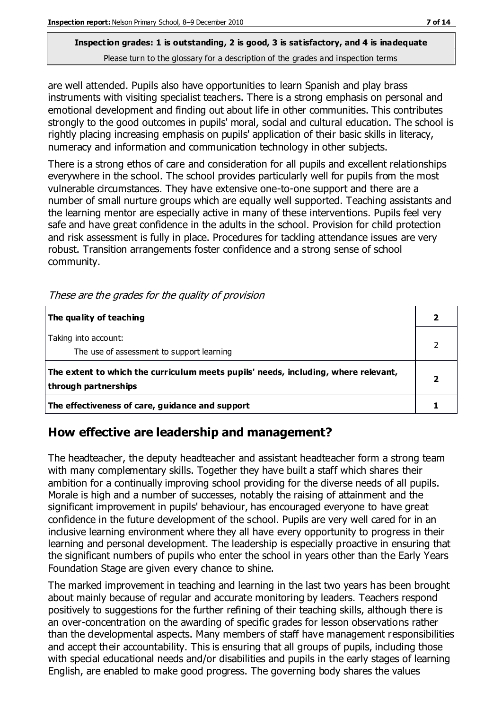are well attended. Pupils also have opportunities to learn Spanish and play brass instruments with visiting specialist teachers. There is a strong emphasis on personal and emotional development and finding out about life in other communities. This contributes strongly to the good outcomes in pupils' moral, social and cultural education. The school is rightly placing increasing emphasis on pupils' application of their basic skills in literacy, numeracy and information and communication technology in other subjects.

There is a strong ethos of care and consideration for all pupils and excellent relationships everywhere in the school. The school provides particularly well for pupils from the most vulnerable circumstances. They have extensive one-to-one support and there are a number of small nurture groups which are equally well supported. Teaching assistants and the learning mentor are especially active in many of these interventions. Pupils feel very safe and have great confidence in the adults in the school. Provision for child protection and risk assessment is fully in place. Procedures for tackling attendance issues are very robust. Transition arrangements foster confidence and a strong sense of school community.

| The quality of teaching                                                                                    |  |
|------------------------------------------------------------------------------------------------------------|--|
| Taking into account:<br>The use of assessment to support learning                                          |  |
| The extent to which the curriculum meets pupils' needs, including, where relevant,<br>through partnerships |  |
| The effectiveness of care, guidance and support                                                            |  |

These are the grades for the quality of provision

## **How effective are leadership and management?**

The headteacher, the deputy headteacher and assistant headteacher form a strong team with many complementary skills. Together they have built a staff which shares their ambition for a continually improving school providing for the diverse needs of all pupils. Morale is high and a number of successes, notably the raising of attainment and the significant improvement in pupils' behaviour, has encouraged everyone to have great confidence in the future development of the school. Pupils are very well cared for in an inclusive learning environment where they all have every opportunity to progress in their learning and personal development. The leadership is especially proactive in ensuring that the significant numbers of pupils who enter the school in years other than the Early Years Foundation Stage are given every chance to shine.

The marked improvement in teaching and learning in the last two years has been brought about mainly because of regular and accurate monitoring by leaders. Teachers respond positively to suggestions for the further refining of their teaching skills, although there is an over-concentration on the awarding of specific grades for lesson observations rather than the developmental aspects. Many members of staff have management responsibilities and accept their accountability. This is ensuring that all groups of pupils, including those with special educational needs and/or disabilities and pupils in the early stages of learning English, are enabled to make good progress. The governing body shares the values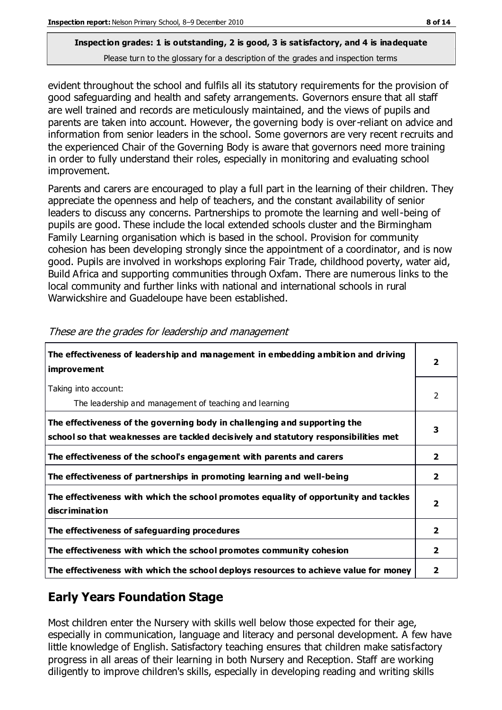evident throughout the school and fulfils all its statutory requirements for the provision of good safeguarding and health and safety arrangements. Governors ensure that all staff are well trained and records are meticulously maintained, and the views of pupils and parents are taken into account. However, the governing body is over-reliant on advice and information from senior leaders in the school. Some governors are very recent recruits and the experienced Chair of the Governing Body is aware that governors need more training in order to fully understand their roles, especially in monitoring and evaluating school improvement.

Parents and carers are encouraged to play a full part in the learning of their children. They appreciate the openness and help of teachers, and the constant availability of senior leaders to discuss any concerns. Partnerships to promote the learning and well-being of pupils are good. These include the local extended schools cluster and the Birmingham Family Learning organisation which is based in the school. Provision for community cohesion has been developing strongly since the appointment of a coordinator, and is now good. Pupils are involved in workshops exploring Fair Trade, childhood poverty, water aid, Build Africa and supporting communities through Oxfam. There are numerous links to the local community and further links with national and international schools in rural Warwickshire and Guadeloupe have been established.

| The effectiveness of leadership and management in embedding ambition and driving<br>improvement                                                                  |                |
|------------------------------------------------------------------------------------------------------------------------------------------------------------------|----------------|
| Taking into account:<br>The leadership and management of teaching and learning                                                                                   | $\mathcal{P}$  |
| The effectiveness of the governing body in challenging and supporting the<br>school so that weaknesses are tackled decisively and statutory responsibilities met | 3              |
| The effectiveness of the school's engagement with parents and carers                                                                                             | $\mathbf{2}$   |
| The effectiveness of partnerships in promoting learning and well-being                                                                                           | $\overline{2}$ |
| The effectiveness with which the school promotes equality of opportunity and tackles<br>discrimination                                                           | 2              |
| The effectiveness of safeguarding procedures                                                                                                                     | $\overline{2}$ |
| The effectiveness with which the school promotes community cohesion                                                                                              | $\overline{2}$ |
| The effectiveness with which the school deploys resources to achieve value for money                                                                             | 2              |

These are the grades for leadership and management

## **Early Years Foundation Stage**

Most children enter the Nursery with skills well below those expected for their age, especially in communication, language and literacy and personal development. A few have little knowledge of English. Satisfactory teaching ensures that children make satisfactory progress in all areas of their learning in both Nursery and Reception. Staff are working diligently to improve children's skills, especially in developing reading and writing skills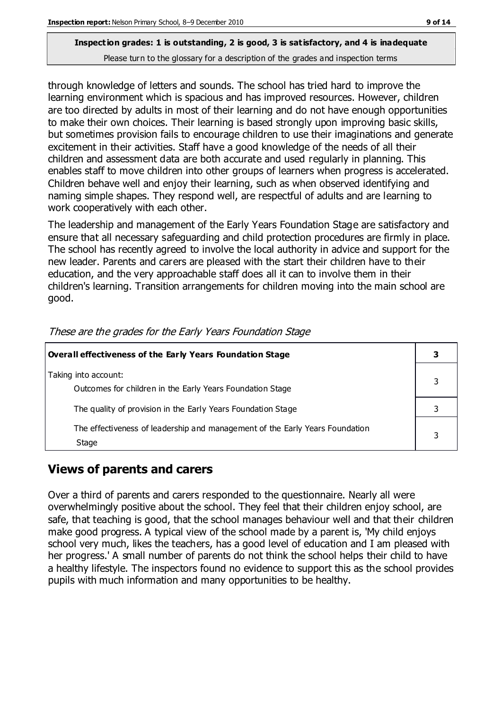through knowledge of letters and sounds. The school has tried hard to improve the learning environment which is spacious and has improved resources. However, children are too directed by adults in most of their learning and do not have enough opportunities to make their own choices. Their learning is based strongly upon improving basic skills, but sometimes provision fails to encourage children to use their imaginations and generate excitement in their activities. Staff have a good knowledge of the needs of all their children and assessment data are both accurate and used regularly in planning. This enables staff to move children into other groups of learners when progress is accelerated. Children behave well and enjoy their learning, such as when observed identifying and naming simple shapes. They respond well, are respectful of adults and are learning to work cooperatively with each other.

The leadership and management of the Early Years Foundation Stage are satisfactory and ensure that all necessary safeguarding and child protection procedures are firmly in place. The school has recently agreed to involve the local authority in advice and support for the new leader. Parents and carers are pleased with the start their children have to their education, and the very approachable staff does all it can to involve them in their children's learning. Transition arrangements for children moving into the main school are good.

| Overall effectiveness of the Early Years Foundation Stage                             |  |
|---------------------------------------------------------------------------------------|--|
| Taking into account:<br>Outcomes for children in the Early Years Foundation Stage     |  |
| The quality of provision in the Early Years Foundation Stage                          |  |
| The effectiveness of leadership and management of the Early Years Foundation<br>Stage |  |

These are the grades for the Early Years Foundation Stage

## **Views of parents and carers**

Over a third of parents and carers responded to the questionnaire. Nearly all were overwhelmingly positive about the school. They feel that their children enjoy school, are safe, that teaching is good, that the school manages behaviour well and that their children make good progress. A typical view of the school made by a parent is, 'My child enjoys school very much, likes the teachers, has a good level of education and I am pleased with her progress.' A small number of parents do not think the school helps their child to have a healthy lifestyle. The inspectors found no evidence to support this as the school provides pupils with much information and many opportunities to be healthy.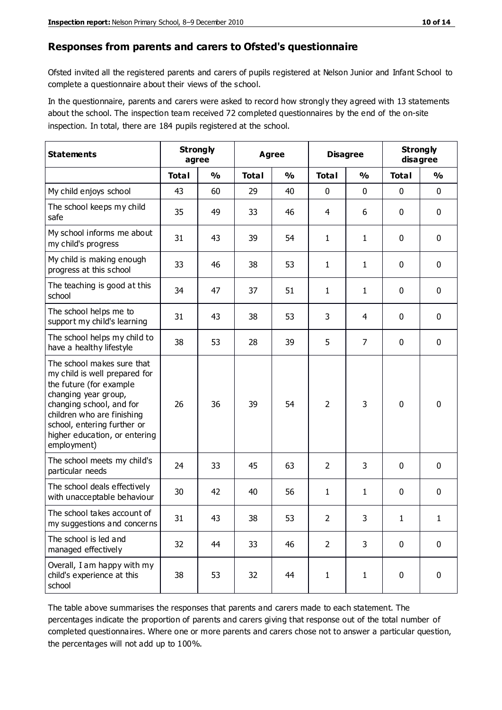#### **Responses from parents and carers to Ofsted's questionnaire**

Ofsted invited all the registered parents and carers of pupils registered at Nelson Junior and Infant School to complete a questionnaire about their views of the school.

In the questionnaire, parents and carers were asked to record how strongly they agreed with 13 statements about the school. The inspection team received 72 completed questionnaires by the end of the on-site inspection. In total, there are 184 pupils registered at the school.

| <b>Statements</b>                                                                                                                                                                                                                                       | <b>Strongly</b><br>agree |               | Agree        |               | <b>Disagree</b> |                | <b>Strongly</b><br>disagree |               |
|---------------------------------------------------------------------------------------------------------------------------------------------------------------------------------------------------------------------------------------------------------|--------------------------|---------------|--------------|---------------|-----------------|----------------|-----------------------------|---------------|
|                                                                                                                                                                                                                                                         | <b>Total</b>             | $\frac{0}{0}$ | <b>Total</b> | $\frac{0}{0}$ | <b>Total</b>    | $\frac{0}{0}$  | <b>Total</b>                | $\frac{0}{0}$ |
| My child enjoys school                                                                                                                                                                                                                                  | 43                       | 60            | 29           | 40            | 0               | $\mathbf 0$    | 0                           | $\mathbf 0$   |
| The school keeps my child<br>safe                                                                                                                                                                                                                       | 35                       | 49            | 33           | 46            | 4               | 6              | 0                           | $\pmb{0}$     |
| My school informs me about<br>my child's progress                                                                                                                                                                                                       | 31                       | 43            | 39           | 54            | $\mathbf{1}$    | $\mathbf{1}$   | $\mathbf{0}$                | $\mathbf 0$   |
| My child is making enough<br>progress at this school                                                                                                                                                                                                    | 33                       | 46            | 38           | 53            | $\mathbf{1}$    | 1              | 0                           | $\mathbf 0$   |
| The teaching is good at this<br>school                                                                                                                                                                                                                  | 34                       | 47            | 37           | 51            | $\mathbf{1}$    | 1              | 0                           | $\mathbf 0$   |
| The school helps me to<br>support my child's learning                                                                                                                                                                                                   | 31                       | 43            | 38           | 53            | 3               | 4              | $\mathbf 0$                 | $\mathbf 0$   |
| The school helps my child to<br>have a healthy lifestyle                                                                                                                                                                                                | 38                       | 53            | 28           | 39            | 5               | $\overline{7}$ | 0                           | $\mathbf 0$   |
| The school makes sure that<br>my child is well prepared for<br>the future (for example<br>changing year group,<br>changing school, and for<br>children who are finishing<br>school, entering further or<br>higher education, or entering<br>employment) | 26                       | 36            | 39           | 54            | $\overline{2}$  | 3              | $\mathbf 0$                 | $\mathbf 0$   |
| The school meets my child's<br>particular needs                                                                                                                                                                                                         | 24                       | 33            | 45           | 63            | $\overline{2}$  | 3              | $\mathbf{0}$                | $\mathbf 0$   |
| The school deals effectively<br>with unacceptable behaviour                                                                                                                                                                                             | 30                       | 42            | 40           | 56            | $\mathbf{1}$    | 1              | 0                           | $\pmb{0}$     |
| The school takes account of<br>my suggestions and concerns                                                                                                                                                                                              | 31                       | 43            | 38           | 53            | $\overline{2}$  | 3              | 1                           | 1             |
| The school is led and<br>managed effectively                                                                                                                                                                                                            | 32                       | 44            | 33           | 46            | $\overline{2}$  | 3              | $\mathbf 0$                 | $\mathbf 0$   |
| Overall, I am happy with my<br>child's experience at this<br>school                                                                                                                                                                                     | 38                       | 53            | 32           | 44            | $\mathbf{1}$    | 1              | $\mathbf 0$                 | $\pmb{0}$     |

The table above summarises the responses that parents and carers made to each statement. The percentages indicate the proportion of parents and carers giving that response out of the total number of completed questionnaires. Where one or more parents and carers chose not to answer a particular question, the percentages will not add up to 100%.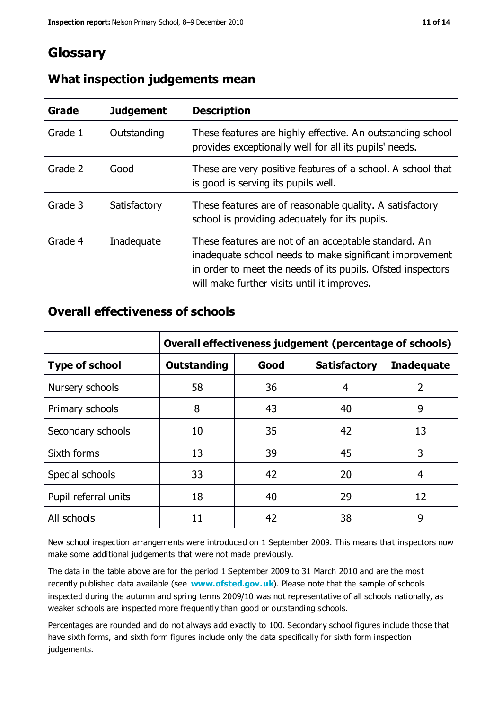## **Glossary**

| Grade   | <b>Judgement</b> | <b>Description</b>                                                                                                                                                                                                            |
|---------|------------------|-------------------------------------------------------------------------------------------------------------------------------------------------------------------------------------------------------------------------------|
| Grade 1 | Outstanding      | These features are highly effective. An outstanding school<br>provides exceptionally well for all its pupils' needs.                                                                                                          |
| Grade 2 | Good             | These are very positive features of a school. A school that<br>is good is serving its pupils well.                                                                                                                            |
| Grade 3 | Satisfactory     | These features are of reasonable quality. A satisfactory<br>school is providing adequately for its pupils.                                                                                                                    |
| Grade 4 | Inadequate       | These features are not of an acceptable standard. An<br>inadequate school needs to make significant improvement<br>in order to meet the needs of its pupils. Ofsted inspectors<br>will make further visits until it improves. |

#### **What inspection judgements mean**

#### **Overall effectiveness of schools**

|                       | Overall effectiveness judgement (percentage of schools) |      |                     |                   |
|-----------------------|---------------------------------------------------------|------|---------------------|-------------------|
| <b>Type of school</b> | <b>Outstanding</b>                                      | Good | <b>Satisfactory</b> | <b>Inadequate</b> |
| Nursery schools       | 58                                                      | 36   | 4                   | $\overline{2}$    |
| Primary schools       | 8                                                       | 43   | 40                  | 9                 |
| Secondary schools     | 10                                                      | 35   | 42                  | 13                |
| Sixth forms           | 13                                                      | 39   | 45                  | 3                 |
| Special schools       | 33                                                      | 42   | 20                  | 4                 |
| Pupil referral units  | 18                                                      | 40   | 29                  | 12                |
| All schools           | 11                                                      | 42   | 38                  | 9                 |

New school inspection arrangements were introduced on 1 September 2009. This means that inspectors now make some additional judgements that were not made previously.

The data in the table above are for the period 1 September 2009 to 31 March 2010 and are the most recently published data available (see **[www.ofsted.gov.uk](http://www.ofsted.gov.uk/)**). Please note that the sample of schools inspected during the autumn and spring terms 2009/10 was not representative of all schools nationally, as weaker schools are inspected more frequently than good or outstanding schools.

Percentages are rounded and do not always add exactly to 100. Secondary school figures include those that have sixth forms, and sixth form figures include only the data specifically for sixth form inspection judgements.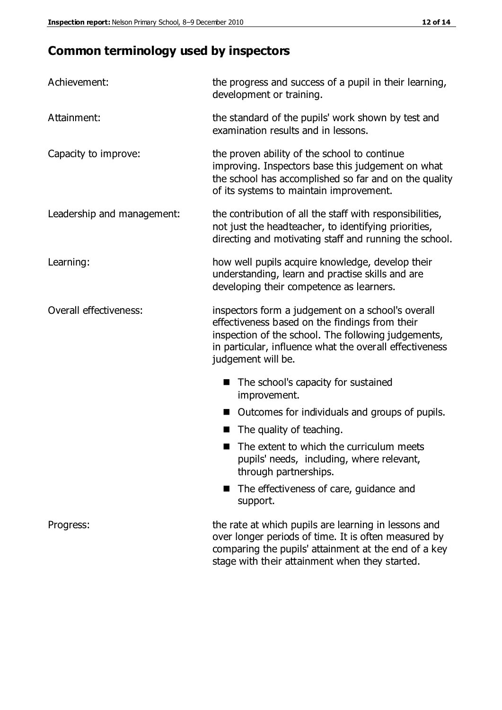# **Common terminology used by inspectors**

| Achievement:               | the progress and success of a pupil in their learning,<br>development or training.                                                                                                                                                          |  |  |
|----------------------------|---------------------------------------------------------------------------------------------------------------------------------------------------------------------------------------------------------------------------------------------|--|--|
| Attainment:                | the standard of the pupils' work shown by test and<br>examination results and in lessons.                                                                                                                                                   |  |  |
| Capacity to improve:       | the proven ability of the school to continue<br>improving. Inspectors base this judgement on what<br>the school has accomplished so far and on the quality<br>of its systems to maintain improvement.                                       |  |  |
| Leadership and management: | the contribution of all the staff with responsibilities,<br>not just the headteacher, to identifying priorities,<br>directing and motivating staff and running the school.                                                                  |  |  |
| Learning:                  | how well pupils acquire knowledge, develop their<br>understanding, learn and practise skills and are<br>developing their competence as learners.                                                                                            |  |  |
| Overall effectiveness:     | inspectors form a judgement on a school's overall<br>effectiveness based on the findings from their<br>inspection of the school. The following judgements,<br>in particular, influence what the overall effectiveness<br>judgement will be. |  |  |
|                            | The school's capacity for sustained<br>improvement.                                                                                                                                                                                         |  |  |
|                            | Outcomes for individuals and groups of pupils.                                                                                                                                                                                              |  |  |
|                            | The quality of teaching.                                                                                                                                                                                                                    |  |  |
|                            | The extent to which the curriculum meets<br>pupils' needs, including, where relevant,<br>through partnerships.                                                                                                                              |  |  |
|                            | The effectiveness of care, guidance and<br>support.                                                                                                                                                                                         |  |  |
| Progress:                  | the rate at which pupils are learning in lessons and<br>over longer periods of time. It is often measured by<br>comparing the pupils' attainment at the end of a key                                                                        |  |  |

stage with their attainment when they started.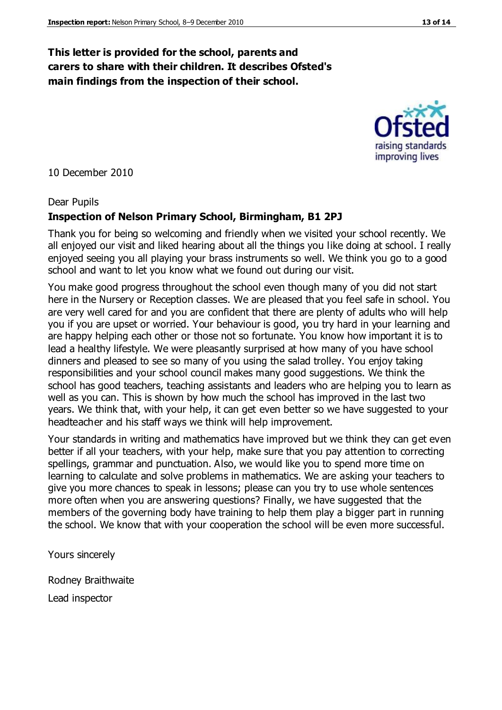#### **This letter is provided for the school, parents and carers to share with their children. It describes Ofsted's main findings from the inspection of their school.**

10 December 2010

#### Dear Pupils

#### **Inspection of Nelson Primary School, Birmingham, B1 2PJ**

Thank you for being so welcoming and friendly when we visited your school recently. We all enjoyed our visit and liked hearing about all the things you like doing at school. I really enjoyed seeing you all playing your brass instruments so well. We think you go to a good school and want to let you know what we found out during our visit.

You make good progress throughout the school even though many of you did not start here in the Nursery or Reception classes. We are pleased that you feel safe in school. You are very well cared for and you are confident that there are plenty of adults who will help you if you are upset or worried. Your behaviour is good, you try hard in your learning and are happy helping each other or those not so fortunate. You know how important it is to lead a healthy lifestyle. We were pleasantly surprised at how many of you have school dinners and pleased to see so many of you using the salad trolley. You enjoy taking responsibilities and your school council makes many good suggestions. We think the school has good teachers, teaching assistants and leaders who are helping you to learn as well as you can. This is shown by how much the school has improved in the last two years. We think that, with your help, it can get even better so we have suggested to your headteacher and his staff ways we think will help improvement.

Your standards in writing and mathematics have improved but we think they can get even better if all your teachers, with your help, make sure that you pay attention to correcting spellings, grammar and punctuation. Also, we would like you to spend more time on learning to calculate and solve problems in mathematics. We are asking your teachers to give you more chances to speak in lessons; please can you try to use whole sentences more often when you are answering questions? Finally, we have suggested that the members of the governing body have training to help them play a bigger part in running the school. We know that with your cooperation the school will be even more successful.

Yours sincerely

Rodney Braithwaite Lead inspector